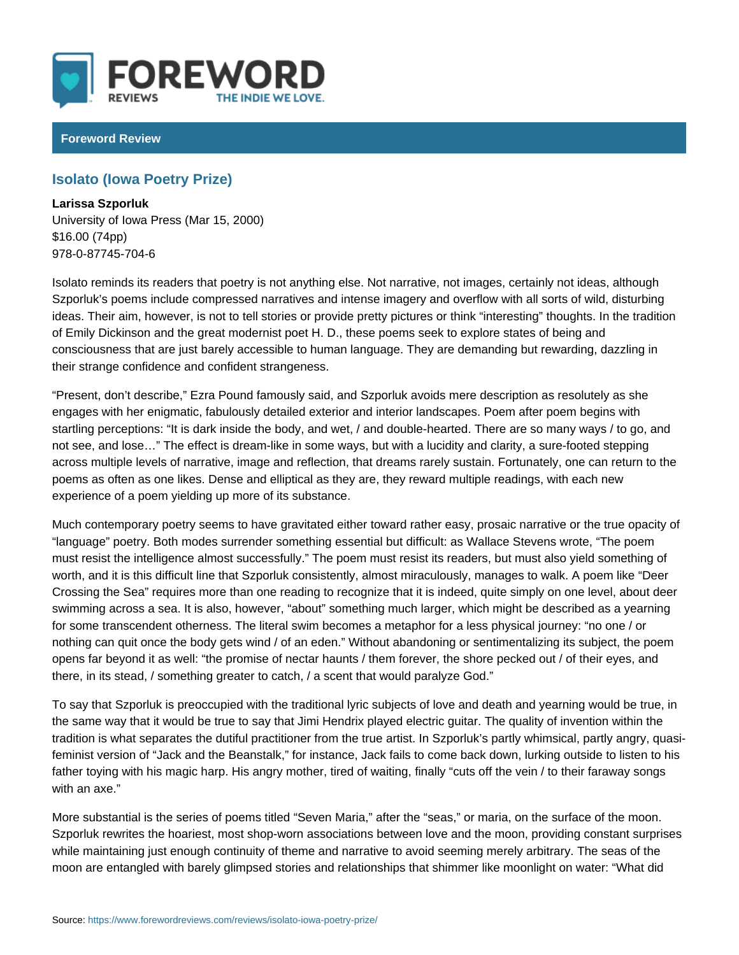## Foreword Review

## Isolato (Iowa Poetry Prize)

Larissa Szporluk University of Iowa Press (Mar 15, 2000) \$16.00 (74pp) 978-0-87745-704-6

Isolato reminds its readers that poetry is not anything else. Not narrative, not Szporluk s poems include compressed narratives and intense imagery and overf ideas. Their aim, however, is not to tell stories or provide pretty pictures or th of Emily Dickinson and the great modernist poet H. D., these poems seek to exp consciousness that are just barely accessible to human language. They are dem their strange confidence and confident strangeness.

Present, don t describe, Ezra Pound famously said, and Szporluk avoids mere engages with her enigmatic, fabulously detailed exterior and interior landscape startling perceptions: It is dark inside the body, and wet, / and double-hearted not see, and lose & The effect is dream-like in some ways, but with a lucidity a across multiple levels of narrative, image and reflection, that dreams rarely su poems as often as one likes. Dense and elliptical as they are, they reward mult experience of a poem yielding up more of its substance.

Much contemporary poetry seems to have gravitated either toward rather easy, language poetry. Both modes surrender something essential but difficult: as W must resist the intelligence almost successfully. The poem must resist its read worth, and it is this difficult line that Szporluk consistently, almost miraculous Crossing the Sea requires more than one reading to recognize that it is indeed swimming across a sea. It is also, however, about something much larger, whi for some transcendent otherness. The literal swim becomes a metaphor for a le nothing can quit once the body gets wind / of an eden. Without abandoning or opens far beyond it as well: the promise of nectar haunts / them forever, the s there, in its stead, / something greater to catch, / a scent that would paralyze God.

To say that Szporluk is preoccupied with the traditional lyric subjects of love a the same way that it would be true to say that Jimi Hendrix played electric guit tradition is what separates the dutiful practitioner from the true artist. In Szpo feminist version of Jack and the Beanstalk, for instance, Jack fails to come b father toying with his magic harp. His angry mother, tired of waiting, finally cu with an axe.

More substantial is the series of poems titled Seven Maria, after the seas, c Szporluk rewrites the hoariest, most shop-worn associations between love and t while maintaining just enough continuity of theme and narrative to avoid seemir moon are entangled with barely glimpsed stories and relationships that shimme!